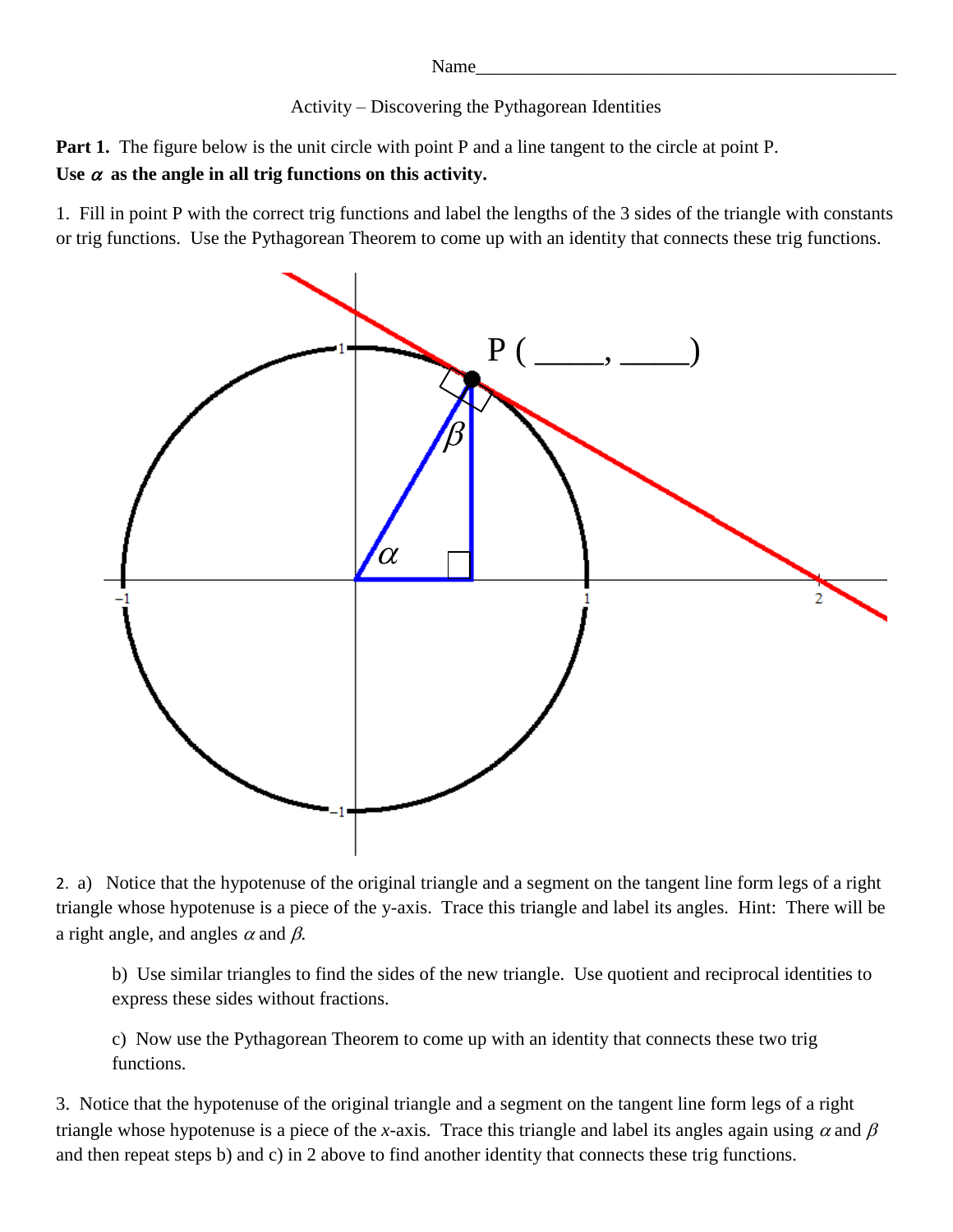Name\_\_\_\_\_\_\_\_\_\_\_\_\_\_\_\_\_\_\_\_\_\_\_\_\_\_\_\_\_\_\_\_\_\_\_\_\_\_\_\_\_\_\_\_\_

Activity – Discovering the Pythagorean Identities

**Part 1.** The figure below is the unit circle with point P and a line tangent to the circle at point P. Use  $\alpha$  as the angle in all trig functions on this activity.

1. Fill in point P with the correct trig functions and label the lengths of the 3 sides of the triangle with constants or trig functions. Use the Pythagorean Theorem to come up with an identity that connects these trig functions.



2. a) Notice that the hypotenuse of the original triangle and a segment on the tangent line form legs of a right triangle whose hypotenuse is a piece of the y-axis. Trace this triangle and label its angles. Hint: There will be a right angle, and angles  $\alpha$  and  $\beta$ .

b) Use similar triangles to find the sides of the new triangle. Use quotient and reciprocal identities to express these sides without fractions.

c) Now use the Pythagorean Theorem to come up with an identity that connects these two trig functions.

3. Notice that the hypotenuse of the original triangle and a segment on the tangent line form legs of a right triangle whose hypotenuse is a piece of the *x*-axis. Trace this triangle and label its angles again using  $\alpha$  and  $\beta$ and then repeat steps b) and c) in 2 above to find another identity that connects these trig functions.